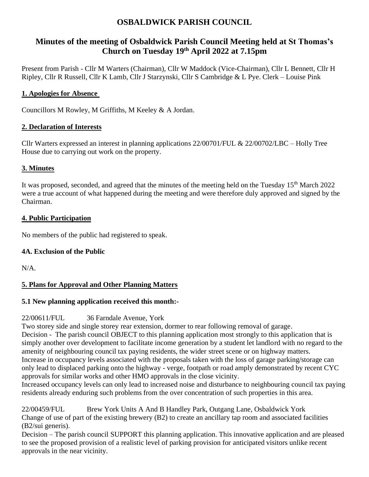# **OSBALDWICK PARISH COUNCIL**

# **Minutes of the meeting of Osbaldwick Parish Council Meeting held at St Thomas's Church on Tuesday 19 th April 2022 at 7.15pm**

Present from Parish - Cllr M Warters (Chairman), Cllr W Maddock (Vice-Chairman), Cllr L Bennett, Cllr H Ripley, Cllr R Russell, Cllr K Lamb, Cllr J Starzynski, Cllr S Cambridge & L Pye. Clerk – Louise Pink

# **1. Apologies for Absence**

Councillors M Rowley, M Griffiths, M Keeley & A Jordan.

#### **2. Declaration of Interests**

Cllr Warters expressed an interest in planning applications 22/00701/FUL & 22/00702/LBC – Holly Tree House due to carrying out work on the property.

#### **3. Minutes**

It was proposed, seconded, and agreed that the minutes of the meeting held on the Tuesday 15<sup>th</sup> March 2022 were a true account of what happened during the meeting and were therefore duly approved and signed by the Chairman.

#### **4. Public Participation**

No members of the public had registered to speak.

# **4A. Exclusion of the Public**

N/A.

# **5. Plans for Approval and Other Planning Matters**

# **5.1 New planning application received this month:-**

# 22/00611/FUL 36 Farndale Avenue, York

Two storey side and single storey rear extension, dormer to rear following removal of garage. Decision - The parish council OBJECT to this planning application most strongly to this application that is simply another over development to facilitate income generation by a student let landlord with no regard to the amenity of neighbouring council tax paying residents, the wider street scene or on highway matters. Increase in occupancy levels associated with the proposals taken with the loss of garage parking/storage can only lead to displaced parking onto the highway - verge, footpath or road amply demonstrated by recent CYC approvals for similar works and other HMO approvals in the close vicinity.

Increased occupancy levels can only lead to increased noise and disturbance to neighbouring council tax paying residents already enduring such problems from the over concentration of such properties in this area.

22/00459/FUL Brew York Units A And B Handley Park, Outgang Lane, Osbaldwick York Change of use of part of the existing brewery (B2) to create an ancillary tap room and associated facilities (B2/sui generis).

Decision – The parish council SUPPORT this planning application. This innovative application and are pleased to see the proposed provision of a realistic level of parking provision for anticipated visitors unlike recent approvals in the near vicinity.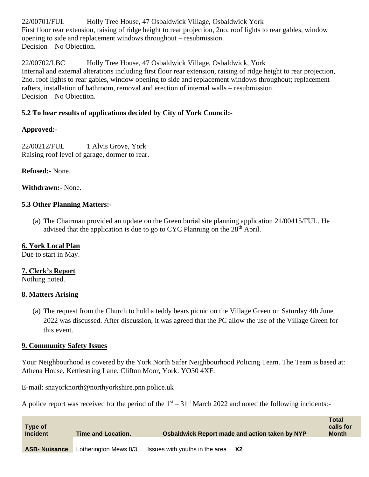22/00701/FUL Holly Tree House, 47 Osbaldwick Village, Osbaldwick York First floor rear extension, raising of ridge height to rear projection, 2no. roof lights to rear gables, window opening to side and replacement windows throughout – resubmission. Decision – No Objection.

22/00702/LBC Holly Tree House, 47 Osbaldwick Village, Osbaldwick, York Internal and external alterations including first floor rear extension, raising of ridge height to rear projection, 2no. roof lights to rear gables, window opening to side and replacement windows throughout; replacement rafters, installation of bathroom, removal and erection of internal walls – resubmission. Decision – No Objection.

# **5.2 To hear results of applications decided by City of York Council:-**

# **Approved:-**

22/00212/FUL 1 Alvis Grove, York Raising roof level of garage, dormer to rear.

#### **Refused:-** None.

#### **Withdrawn:-** None.

#### **5.3 Other Planning Matters:-**

(a) The Chairman provided an update on the Green burial site planning application 21/00415/FUL. He advised that the application is due to go to CYC Planning on the  $28<sup>th</sup>$  April.

# **6. York Local Plan**

Due to start in May.

#### **7. Clerk's Report**

Nothing noted.

#### **8. Matters Arising**

(a) The request from the Church to hold a teddy bears picnic on the Village Green on Saturday 4th June 2022 was discussed. After discussion, it was agreed that the PC allow the use of the Village Green for this event.

#### **9. Community Safety Issues**

Your Neighbourhood is covered by the York North Safer Neighbourhood Policing Team. The Team is based at: Athena House, Kettlestring Lane, Clifton Moor, York. YO30 4XF.

E-mail: snayorknorth@northyorkshire.pnn.police.uk

A police report was received for the period of the  $1<sup>st</sup> - 31<sup>st</sup>$  March 2022 and noted the following incidents:-

| Type of<br><b>Incident</b> | <b>Time and Location.</b> | Osbaldwick Report made and action taken by NYP | <b>Total</b><br>calls for<br><b>Month</b> |
|----------------------------|---------------------------|------------------------------------------------|-------------------------------------------|
| <b>ASB-Nuisance</b>        | Lotherington Mews 8/3     | Issues with youths in the area<br>- X2         |                                           |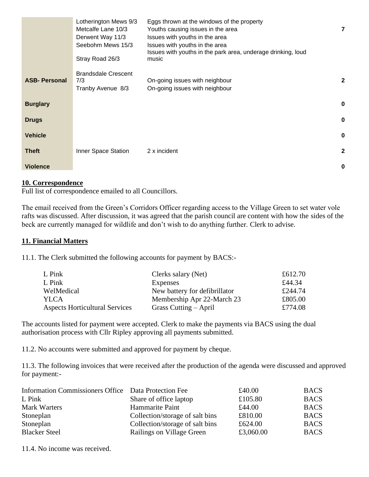|                     | Lotherington Mews 9/3<br>Metcalfe Lane 10/3<br>Derwent Way 11/3<br>Seebohm Mews 15/3<br>Stray Road 26/3 | Eggs thrown at the windows of the property<br>Youths causing issues in the area<br>Issues with youths in the area<br>Issues with youths in the area<br>Issues with youths in the park area, underage drinking, loud<br>music | 7            |
|---------------------|---------------------------------------------------------------------------------------------------------|------------------------------------------------------------------------------------------------------------------------------------------------------------------------------------------------------------------------------|--------------|
| <b>ASB-Personal</b> | <b>Brandsdale Crescent</b><br>7/3<br>Tranby Avenue 8/3                                                  | On-going issues with neighbour<br>On-going issues with neighbour                                                                                                                                                             | $\mathbf{2}$ |
| <b>Burglary</b>     |                                                                                                         |                                                                                                                                                                                                                              | 0            |
| <b>Drugs</b>        |                                                                                                         |                                                                                                                                                                                                                              | $\bf{0}$     |
| <b>Vehicle</b>      |                                                                                                         |                                                                                                                                                                                                                              | 0            |
| <b>Theft</b>        | Inner Space Station                                                                                     | 2 x incident                                                                                                                                                                                                                 | $\mathbf{2}$ |
| <b>Violence</b>     |                                                                                                         |                                                                                                                                                                                                                              | 0            |

#### **10. Correspondence**

Full list of correspondence emailed to all Councillors.

The email received from the Green's Corridors Officer regarding access to the Village Green to set water vole rafts was discussed. After discussion, it was agreed that the parish council are content with how the sides of the beck are currently managed for wildlife and don't wish to do anything further. Clerk to advise.

#### **11. Financial Matters**

11.1. The Clerk submitted the following accounts for payment by BACS:-

| L Pink                                | Clerks salary (Net)           | £612.70 |
|---------------------------------------|-------------------------------|---------|
| L Pink                                | Expenses                      | £44.34  |
| WelMedical                            | New battery for defibrillator | £244.74 |
| YLCA                                  | Membership Apr 22-March 23    | £805.00 |
| <b>Aspects Horticultural Services</b> | Grass Cutting $-$ April       | £774.08 |

The accounts listed for payment were accepted. Clerk to make the payments via BACS using the dual authorisation process with Cllr Ripley approving all payments submitted.

11.2. No accounts were submitted and approved for payment by cheque.

11.3. The following invoices that were received after the production of the agenda were discussed and approved for payment:-

| Information Commissioners Office Data Protection Fee |                                 | £40.00    | <b>BACS</b> |
|------------------------------------------------------|---------------------------------|-----------|-------------|
| L Pink                                               | Share of office laptop          | £105.80   | <b>BACS</b> |
| Mark Warters                                         | Hammarite Paint                 | £44.00    | <b>BACS</b> |
| Stoneplan                                            | Collection/storage of salt bins | £810.00   | <b>BACS</b> |
| Stoneplan                                            | Collection/storage of salt bins | £624.00   | <b>BACS</b> |
| <b>Blacker Steel</b>                                 | Railings on Village Green       | £3,060.00 | <b>BACS</b> |

11.4. No income was received.